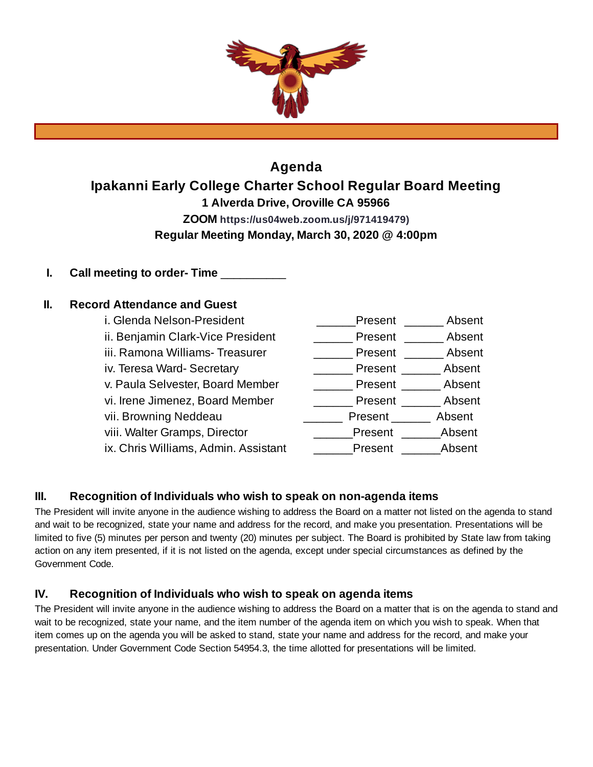

# **Agenda Ipakanni Early College Charter School Regular Board Meeting 1 Alverda Drive, Oroville CA 95966 ZOOM https://us04web.zoom.us/j/971419479) Regular Meeting Monday, March 30, 2020 @ 4:00pm**

**I. Call meeting to order- Time** \_\_\_\_\_\_\_\_\_\_

## **II. Record Attendance and Guest**

i. Glenda Nelson-President \_\_\_\_\_\_\_\_\_\_\_Present \_\_\_\_\_\_\_\_ Absent ii. Benjamin Clark-Vice President \_\_\_\_\_\_\_\_ Present \_\_\_\_\_\_\_ Absent iii. Ramona Williams- Treasurer [100] \_\_\_\_\_\_\_\_\_ Present [100] Absent iv. Teresa Ward- Secretary \_\_\_\_\_\_\_\_\_\_\_\_\_\_\_\_\_\_\_\_ Present \_\_\_\_\_\_\_\_ Absent v. Paula Selvester, Board Member \_\_\_\_\_\_\_\_ Present \_\_\_\_\_\_\_ Absent vi. Irene Jimenez, Board Member \_\_\_\_\_\_\_\_ Present \_\_\_\_\_\_\_ Absent vii. Browning Neddeau **Network Container Present Leapent** Absent viii. Walter Gramps, Director \_\_\_\_\_\_\_\_\_\_\_\_Present \_\_\_\_\_\_\_\_Absent ix. Chris Williams, Admin. Assistant **Example 2** Present Absent

## **III. Recognition of Individuals who wish to speak on non-agenda items**

The President will invite anyone in the audience wishing to address the Board on a matter not listed on the agenda to stand and wait to be recognized, state your name and address for the record, and make you presentation. Presentations will be limited to five (5) minutes per person and twenty (20) minutes per subject. The Board is prohibited by State law from taking action on any item presented, if it is not listed on the agenda, except under special circumstances as defined by the Government Code.

## **IV. Recognition of Individuals who wish to speak on agenda items**

The President will invite anyone in the audience wishing to address the Board on a matter that is on the agenda to stand and wait to be recognized, state your name, and the item number of the agenda item on which you wish to speak. When that item comes up on the agenda you will be asked to stand, state your name and address for the record, and make your presentation. Under Government Code Section 54954.3, the time allotted for presentations will be limited.